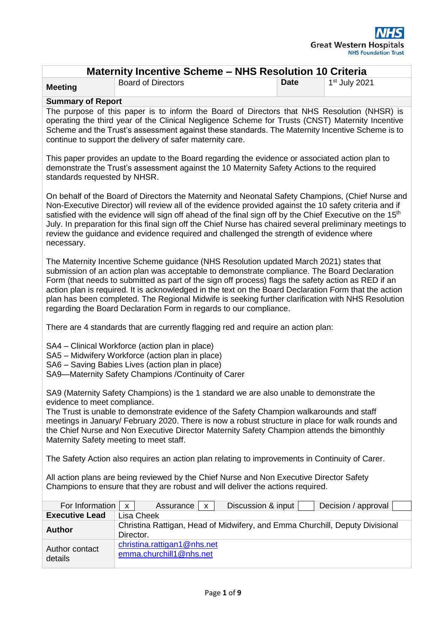| Maternity Incentive Scheme – NHS Resolution 10 Criteria                                                                                                                                                                                                                                                                                                         |                                                                                                                                                                                                                                                                                                                                                                                                                                                                                                                                                                                     |             |                     |  |  |
|-----------------------------------------------------------------------------------------------------------------------------------------------------------------------------------------------------------------------------------------------------------------------------------------------------------------------------------------------------------------|-------------------------------------------------------------------------------------------------------------------------------------------------------------------------------------------------------------------------------------------------------------------------------------------------------------------------------------------------------------------------------------------------------------------------------------------------------------------------------------------------------------------------------------------------------------------------------------|-------------|---------------------|--|--|
| <b>Meeting</b>                                                                                                                                                                                                                                                                                                                                                  | <b>Board of Directors</b>                                                                                                                                                                                                                                                                                                                                                                                                                                                                                                                                                           | <b>Date</b> | $1st$ July 2021     |  |  |
| <b>Summary of Report</b>                                                                                                                                                                                                                                                                                                                                        |                                                                                                                                                                                                                                                                                                                                                                                                                                                                                                                                                                                     |             |                     |  |  |
| The purpose of this paper is to inform the Board of Directors that NHS Resolution (NHSR) is<br>operating the third year of the Clinical Negligence Scheme for Trusts (CNST) Maternity Incentive<br>Scheme and the Trust's assessment against these standards. The Maternity Incentive Scheme is to<br>continue to support the delivery of safer maternity care. |                                                                                                                                                                                                                                                                                                                                                                                                                                                                                                                                                                                     |             |                     |  |  |
| This paper provides an update to the Board regarding the evidence or associated action plan to<br>demonstrate the Trust's assessment against the 10 Maternity Safety Actions to the required<br>standards requested by NHSR.                                                                                                                                    |                                                                                                                                                                                                                                                                                                                                                                                                                                                                                                                                                                                     |             |                     |  |  |
| necessary.                                                                                                                                                                                                                                                                                                                                                      | On behalf of the Board of Directors the Maternity and Neonatal Safety Champions, (Chief Nurse and<br>Non-Executive Director) will review all of the evidence provided against the 10 safety criteria and if<br>satisfied with the evidence will sign off ahead of the final sign off by the Chief Executive on the 15 <sup>th</sup><br>July. In preparation for this final sign off the Chief Nurse has chaired several preliminary meetings to<br>review the guidance and evidence required and challenged the strength of evidence where                                          |             |                     |  |  |
|                                                                                                                                                                                                                                                                                                                                                                 | The Maternity Incentive Scheme guidance (NHS Resolution updated March 2021) states that<br>submission of an action plan was acceptable to demonstrate compliance. The Board Declaration<br>Form (that needs to submitted as part of the sign off process) flags the safety action as RED if an<br>action plan is required. It is acknowledged in the text on the Board Declaration Form that the action<br>plan has been completed. The Regional Midwife is seeking further clarification with NHS Resolution<br>regarding the Board Declaration Form in regards to our compliance. |             |                     |  |  |
|                                                                                                                                                                                                                                                                                                                                                                 | There are 4 standards that are currently flagging red and require an action plan:                                                                                                                                                                                                                                                                                                                                                                                                                                                                                                   |             |                     |  |  |
|                                                                                                                                                                                                                                                                                                                                                                 | SA4 – Clinical Workforce (action plan in place)<br>SA5 - Midwifery Workforce (action plan in place)<br>SA6 - Saving Babies Lives (action plan in place)<br>SA9-Maternity Safety Champions / Continuity of Carer                                                                                                                                                                                                                                                                                                                                                                     |             |                     |  |  |
| evidence to meet compliance.                                                                                                                                                                                                                                                                                                                                    | SA9 (Maternity Safety Champions) is the 1 standard we are also unable to demonstrate the<br>The Trust is unable to demonstrate evidence of the Safety Champion walkarounds and staff<br>meetings in January/ February 2020. There is now a robust structure in place for walk rounds and<br>the Chief Nurse and Non Executive Director Maternity Safety Champion attends the bimonthly<br>Maternity Safety meeting to meet staff.                                                                                                                                                   |             |                     |  |  |
|                                                                                                                                                                                                                                                                                                                                                                 | The Safety Action also requires an action plan relating to improvements in Continuity of Carer.                                                                                                                                                                                                                                                                                                                                                                                                                                                                                     |             |                     |  |  |
|                                                                                                                                                                                                                                                                                                                                                                 | All action plans are being reviewed by the Chief Nurse and Non Executive Director Safety<br>Champions to ensure that they are robust and will deliver the actions required.                                                                                                                                                                                                                                                                                                                                                                                                         |             |                     |  |  |
| For Information                                                                                                                                                                                                                                                                                                                                                 | Discussion & input<br>Assurance<br>X<br>X                                                                                                                                                                                                                                                                                                                                                                                                                                                                                                                                           |             | Decision / approval |  |  |
| <b>Executive Lead</b>                                                                                                                                                                                                                                                                                                                                           | Lisa Cheek                                                                                                                                                                                                                                                                                                                                                                                                                                                                                                                                                                          |             |                     |  |  |
| <b>Author</b>                                                                                                                                                                                                                                                                                                                                                   | Christina Rattigan, Head of Midwifery, and Emma Churchill, Deputy Divisional<br>Director.                                                                                                                                                                                                                                                                                                                                                                                                                                                                                           |             |                     |  |  |
| Author contact<br>details                                                                                                                                                                                                                                                                                                                                       | christina.rattigan1@nhs.net<br>emma.churchill1@nhs.net                                                                                                                                                                                                                                                                                                                                                                                                                                                                                                                              |             |                     |  |  |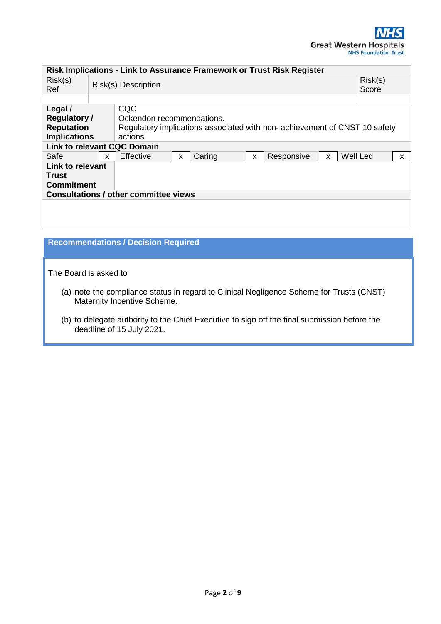| Risk Implications - Link to Assurance Framework or Trust Risk Register     |                     |                                                                                                                           |   |        |                  |            |          |                 |   |
|----------------------------------------------------------------------------|---------------------|---------------------------------------------------------------------------------------------------------------------------|---|--------|------------------|------------|----------|-----------------|---|
| Risk(s)<br>Ref                                                             | Risk(s) Description |                                                                                                                           |   |        | Risk(s)<br>Score |            |          |                 |   |
|                                                                            |                     |                                                                                                                           |   |        |                  |            |          |                 |   |
| Legal /<br><b>Regulatory /</b><br><b>Reputation</b><br><b>Implications</b> |                     | CQC<br>Ockendon recommendations.<br>Regulatory implications associated with non- achievement of CNST 10 safety<br>actions |   |        |                  |            |          |                 |   |
|                                                                            |                     | <b>Link to relevant CQC Domain</b>                                                                                        |   |        |                  |            |          |                 |   |
| Safe                                                                       | $\mathsf{x}$        | Effective                                                                                                                 | x | Caring | X                | Responsive | <b>X</b> | <b>Well Led</b> | X |
| <b>Link to relevant</b><br>Trust<br><b>Commitment</b>                      |                     | <b>Consultations / other committee views</b>                                                                              |   |        |                  |            |          |                 |   |

# **Recommendations / Decision Required**

The Board is asked to

- (a) note the compliance status in regard to Clinical Negligence Scheme for Trusts (CNST) Maternity Incentive Scheme.
- (b) to delegate authority to the Chief Executive to sign off the final submission before the deadline of 15 July 2021.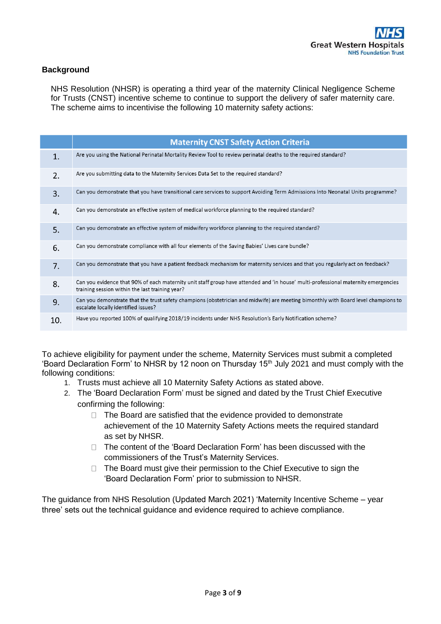## **Background**

NHS Resolution (NHSR) is operating a third year of the maternity Clinical Negligence Scheme for Trusts (CNST) incentive scheme to continue to support the delivery of safer maternity care. The scheme aims to incentivise the following 10 maternity safety actions:

|     | <b>Maternity CNST Safety Action Criteria</b>                                                                                                                                          |
|-----|---------------------------------------------------------------------------------------------------------------------------------------------------------------------------------------|
| 1.  | Are you using the National Perinatal Mortality Review Tool to review perinatal deaths to the required standard?                                                                       |
| 2.  | Are you submitting data to the Maternity Services Data Set to the required standard?                                                                                                  |
| 3.  | Can you demonstrate that you have transitional care services to support Avoiding Term Admissions Into Neonatal Units programme?                                                       |
| 4.  | Can you demonstrate an effective system of medical workforce planning to the required standard?                                                                                       |
| 5.  | Can you demonstrate an effective system of midwifery workforce planning to the required standard?                                                                                     |
| 6.  | Can you demonstrate compliance with all four elements of the Saving Babies' Lives care bundle?                                                                                        |
| 7.  | Can you demonstrate that you have a patient feedback mechanism for maternity services and that you regularly act on feedback?                                                         |
| 8.  | Can you evidence that 90% of each maternity unit staff group have attended and 'in house' multi-professional maternity emergencies<br>training session within the last training year? |
| 9.  | Can you demonstrate that the trust safety champions (obstetrician and midwife) are meeting bimonthly with Board level champions to<br>escalate locally identified issues?             |
| 10. | Have you reported 100% of qualifying 2018/19 incidents under NHS Resolution's Early Notification scheme?                                                                              |

To achieve eligibility for payment under the scheme, Maternity Services must submit a completed 'Board Declaration Form' to NHSR by 12 noon on Thursday  $15<sup>th</sup>$  July 2021 and must comply with the following conditions:

- 1. Trusts must achieve all 10 Maternity Safety Actions as stated above.
- 2. The 'Board Declaration Form' must be signed and dated by the Trust Chief Executive confirming the following:
	- $\Box$  The Board are satisfied that the evidence provided to demonstrate achievement of the 10 Maternity Safety Actions meets the required standard as set by NHSR.
	- $\Box$  The content of the 'Board Declaration Form' has been discussed with the commissioners of the Trust's Maternity Services.
	- $\Box$  The Board must give their permission to the Chief Executive to sign the 'Board Declaration Form' prior to submission to NHSR.

The guidance from NHS Resolution (Updated March 2021) 'Maternity Incentive Scheme – year three' sets out the technical guidance and evidence required to achieve compliance.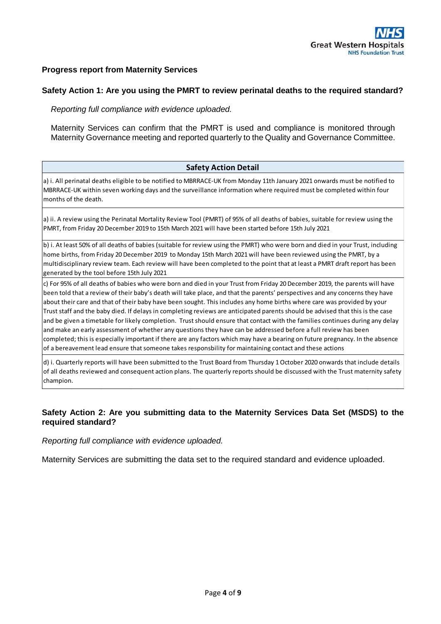### **Progress report from Maternity Services**

### **Safety Action 1: Are you using the PMRT to review perinatal deaths to the required standard?**

*Reporting full compliance with evidence uploaded.* 

Maternity Services can confirm that the PMRT is used and compliance is monitored through Maternity Governance meeting and reported quarterly to the Quality and Governance Committee.

### **Safety Action Detail**

a) i. All perinatal deaths eligible to be notified to MBRRACE-UK from Monday 11th January 2021 onwards must be notified to MBRRACE-UK within seven working days and the surveillance information where required must be completed within four months of the death.

a) ii. A review using the Perinatal Mortality Review Tool (PMRT) of 95% of all deaths of babies, suitable for review using the PMRT, from Friday 20 December 2019 to 15th March 2021 will have been started before 15th July 2021

b) i. At least 50% of all deaths of babies (suitable for review using the PMRT) who were born and died in your Trust, including home births, from Friday 20 December 2019 to Monday 15th March 2021 will have been reviewed using the PMRT, by a multidisciplinary review team. Each review will have been completed to the point that at least a PMRT draft report has been generated by the tool before 15th July 2021

c) For 95% of all deaths of babies who were born and died in your Trust from Friday 20 December 2019, the parents will have been told that a review of their baby's death will take place, and that the parents' perspectives and any concerns they have about their care and that of their baby have been sought. This includes any home births where care was provided by your Trust staff and the baby died. If delays in completing reviews are anticipated parents should be advised that this is the case and be given a timetable for likely completion. Trust should ensure that contact with the families continues during any delay and make an early assessment of whether any questions they have can be addressed before a full review has been completed; this is especially important if there are any factors which may have a bearing on future pregnancy. In the absence of a bereavement lead ensure that someone takes responsbility for maintaining contact and these actions

d) i. Quarterly reports will have been submitted to the Trust Board from Thursday 1 October 2020 onwards that include details of all deaths reviewed and consequent action plans. The quarterly reports should be discussed with the Trust maternity safety champion.

### **Safety Action 2: Are you submitting data to the Maternity Services Data Set (MSDS) to the required standard?**

*Reporting full compliance with evidence uploaded.* 

Maternity Services are submitting the data set to the required standard and evidence uploaded.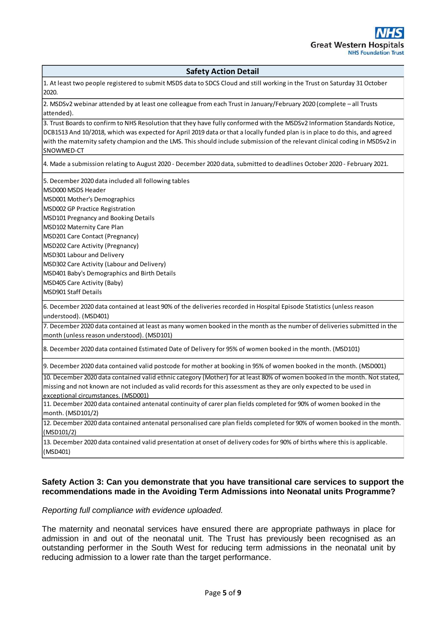### **Safety Action Detail**

1. At least two people registered to submit MSDS data to SDCS Cloud and still working in the Trust on Saturday 31 October 2020.

2. MSDSv2 webinar attended by at least one colleague from each Trust in January/February 2020 (complete – all Trusts attended).

3. Trust Boards to confirm to NHS Resolution that they have fully conformed with the MSDSv2 Information Standards Notice, DCB1513 And 10/2018, which was expected for April 2019 data or that a locally funded plan is in place to do this, and agreed with the maternity safety champion and the LMS. This should include submission of the relevant clinical coding in MSDSv2 in SNOWMED-CT

4. Made a submission relating to August 2020 - December 2020 data, submitted to deadlines October 2020 - February 2021.

5. December 2020 data included all following tables

MSD000 MSDS Header

- MSD001 Mother's Demographics
- MSD002 GP Practice Registration

MSD101 Pregnancy and Booking Details

MSD102 Maternity Care Plan

MSD201 Care Contact (Pregnancy)

MSD202 Care Activity (Pregnancy)

MSD301 Labour and Delivery

MSD302 Care Activity (Labour and Delivery)

MSD401 Baby's Demographics and Birth Details

MSD405 Care Activity (Baby)

MSD901 Staff Details

6. December 2020 data contained at least 90% of the deliveries recorded in Hospital Episode Statistics (unless reason understood). (MSD401)

7. December 2020 data contained at least as many women booked in the month as the number of deliveries submitted in the month (unless reason understood). (MSD101)

8. December 2020 data contained Estimated Date of Delivery for 95% of women booked in the month. (MSD101)

9. December 2020 data contained valid postcode for mother at booking in 95% of women booked in the month. (MSD001)

10. December 2020 data contained valid ethnic category (Mother) for at least 80% of women booked in the month. Not stated, missing and not known are not included as valid records for this assessment as they are only expected to be used in exceptional circumstances. (MSD001)

11. December 2020 data contained antenatal continuity of carer plan fields completed for 90% of women booked in the month. (MSD101/2)

12. December 2020 data contained antenatal personalised care plan fields completed for 90% of women booked in the month. (MSD101/2)

13. December 2020 data contained valid presentation at onset of delivery codes for 90% of births where this is applicable. (MSD401)

### **Safety Action 3: Can you demonstrate that you have transitional care services to support the recommendations made in the Avoiding Term Admissions into Neonatal units Programme?**

### *Reporting full compliance with evidence uploaded.*

The maternity and neonatal services have ensured there are appropriate pathways in place for admission in and out of the neonatal unit. The Trust has previously been recognised as an outstanding performer in the South West for reducing term admissions in the neonatal unit by reducing admission to a lower rate than the target performance.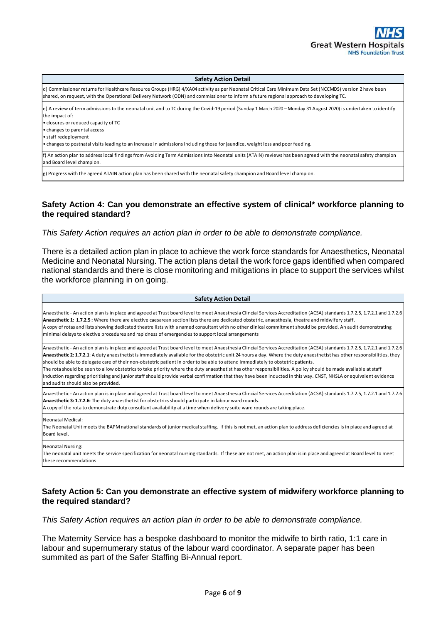#### **Safety Action Detail**

d) Commissioner returns for Healthcare Resource Groups (HRG) 4/XA04 activity as per Neonatal Critical Care Minimum Data Set (NCCMDS) version 2 have been shared, on request, with the Operational Delivery Network (ODN) and commissioner to inform a future regional approach to developing TC.

e) A review of term admissions to the neonatal unit and to TC during the Covid-19 period (Sunday 1 March 2020 – Monday 31 August 2020) is undertaken to identify the impact of:

• closures or reduced capacity of TC

• changes to parental access

• staff redeployment

• changes to postnatal visits leading to an increase in admissions including those for jaundice, weight loss and poor feeding.

f) An action plan to address local findings from Avoiding Term Admissions Into Neonatal units (ATAIN) reviews has been agreed with the neonatal safety champion and Board level champion.

g) Progress with the agreed ATAIN action plan has been shared with the neonatal safety champion and Board level champion.

### **Safety Action 4: Can you demonstrate an effective system of clinical\* workforce planning to the required standard?**

*This Safety Action requires an action plan in order to be able to demonstrate compliance.* 

There is a detailed action plan in place to achieve the work force standards for Anaesthetics, Neonatal Medicine and Neonatal Nursing. The action plans detail the work force gaps identified when compared national standards and there is close monitoring and mitigations in place to support the services whilst the workforce planning in on going.

| <b>Safety Action Detail</b>                                                                                                                                                                                                                                                                                                                                                                                                                                                                                                                                                                                                                                                                                                                                                                                                                                              |
|--------------------------------------------------------------------------------------------------------------------------------------------------------------------------------------------------------------------------------------------------------------------------------------------------------------------------------------------------------------------------------------------------------------------------------------------------------------------------------------------------------------------------------------------------------------------------------------------------------------------------------------------------------------------------------------------------------------------------------------------------------------------------------------------------------------------------------------------------------------------------|
| Anaesthetic - An action plan is in place and agreed at Trust board level to meet Anaesthesia Clincial Services Accreditation (ACSA) standards 1.7.2.5, 1.7.2.1 and 1.7.2.6<br>Anaesthetic 1: 1.7.2.5 : Where there are elective caesarean section lists there are dedicated obstetric, anaesthesia, theatre and midwifery staff.<br>A copy of rotas and lists showing dedicated theatre lists with a named consultant with no other clinical commitment should be provided. An audit demonstrating<br>minimal delays to elective procedures and rapidness of emergencies to support local arrangements                                                                                                                                                                                                                                                                   |
| Anaesthetic - An action plan is in place and agreed at Trust board level to meet Anaesthesia Clincial Services Accreditation (ACSA) standards 1.7.2.5, 1.7.2.1 and 1.7.2.6<br>Anaesthetic 2: 1.7.2.1: A duty anaesthetist is immediately available for the obstetric unit 24 hours a day. Where the duty anaesthetist has other responsibilities, they<br>should be able to delegate care of their non-obstetric patient in order to be able to attend immediately to obstetric patients.<br>The rota should be seen to allow obstetrics to take priority where the duty anaesthetist has other responsibilities. A policy should be made available at staff<br>induction regarding prioritising and junior staff should provide verbal confirmation that they have been inducted in this way. CNST, NHSLA or equivalent evidence<br>and audits should also be provided. |
| Anaesthetic - An action plan is in place and agreed at Trust board level to meet Anaesthesia Clincial Services Accreditation (ACSA) standards 1.7.2.5, 1.7.2.1 and 1.7.2.6<br>Anaesthetic 3: 1.7.2.6: The duty anaesthetist for obstetrics should participate in labour ward rounds.<br>A copy of the rota to demonstrate duty consultant availability at a time when delivery suite ward rounds are taking place.                                                                                                                                                                                                                                                                                                                                                                                                                                                       |
| Neonatal Medical:<br>The Neonatal Unit meets the BAPM national standards of junior medical staffing. If this is not met, an action plan to address deficiencies is in place and agreed at<br>Board level.                                                                                                                                                                                                                                                                                                                                                                                                                                                                                                                                                                                                                                                                |
| <b>Neonatal Nursing:</b><br>The neonatal unit meets the service specification for neonatal nursing standards. If these are not met, an action plan is in place and agreed at Board level to meet<br>these recommendations                                                                                                                                                                                                                                                                                                                                                                                                                                                                                                                                                                                                                                                |

### **Safety Action 5: Can you demonstrate an effective system of midwifery workforce planning to the required standard?**

*This Safety Action requires an action plan in order to be able to demonstrate compliance.*

The Maternity Service has a bespoke dashboard to monitor the midwife to birth ratio, 1:1 care in labour and supernumerary status of the labour ward coordinator. A separate paper has been summited as part of the Safer Staffing Bi-Annual report.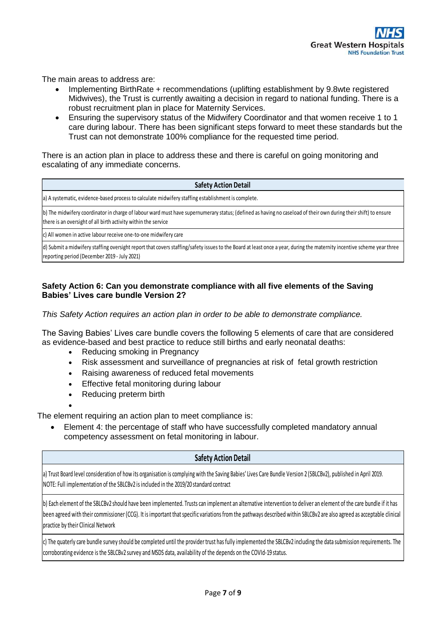The main areas to address are:

- Implementing BirthRate + recommendations (uplifting establishment by 9.8wte registered Midwives), the Trust is currently awaiting a decision in regard to national funding. There is a robust recruitment plan in place for Maternity Services.
- Ensuring the supervisory status of the Midwifery Coordinator and that women receive 1 to 1 care during labour. There has been significant steps forward to meet these standards but the Trust can not demonstrate 100% compliance for the requested time period.

There is an action plan in place to address these and there is careful on going monitoring and escalating of any immediate concerns.

#### **Safety Action Detail**

a) A systematic, evidence-based process to calculate midwifery staffing establishment is complete.

b) The midwifery coordinator in charge of labour ward must have supernumerary status; (defined as having no caseload of their own during their shift) to ensure there is an oversight of all birth activity within the service

c) All women in active labour receive one-to-one midwifery care

d) Submit a midwifery staffing oversight report that covers staffing/safety issues to the Board at least once a year, during the maternity incentive scheme year three reporting period (December 2019 - July 2021)

### **Safety Action 6: Can you demonstrate compliance with all five elements of the Saving Babies' Lives care bundle Version 2?**

*This Safety Action requires an action plan in order to be able to demonstrate compliance.*

The Saving Babies' Lives care bundle covers the following 5 elements of care that are considered as evidence-based and best practice to reduce still births and early neonatal deaths:

- Reducing smoking in Pregnancy
- Risk assessment and surveillance of pregnancies at risk of fetal growth restriction
- Raising awareness of reduced fetal movements
- Effective fetal monitoring during labour
- Reducing preterm birth
- $\bullet$

The element requiring an action plan to meet compliance is:

 Element 4: the percentage of staff who have successfully completed mandatory annual competency assessment on fetal monitoring in labour.

### **Safety Action Detail**

a) Trust Board level consideration of how its organisation is complying with the Saving Babies' Lives Care Bundle Version 2 (SBLCBv2), published in April 2019. NOTE: Full implementation of the SBLCBv2 is included in the 2019/20 standard contract

b) Each element of the SBLCBv2 should have been implemented. Trusts can implement an alternative intervention to deliver an element of the care bundle if it has been agreed with their commissioner (CCG). It is important that specific variations from the pathways described within SBLCBv2 are also agreed as acceptable clinical practice by their Clinical Network

c) The quaterly care bundle survey should be completed until the provider trust has fully implemented the SBLCBv2 including the data submission requirements. The corroborating evidence is the SBLCBv2 survey and MSDS data, availability of the depends on the COVId-19 status.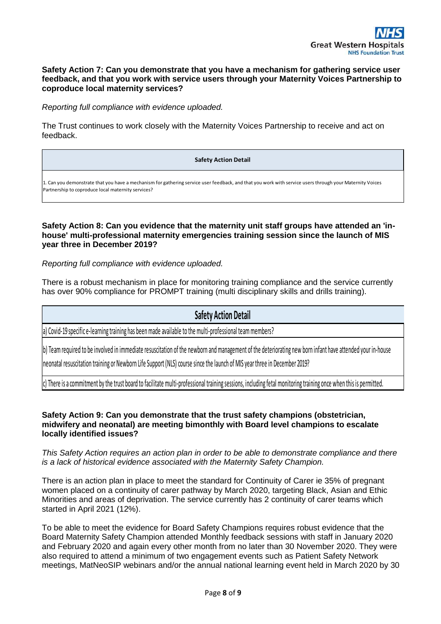### **Safety Action 7: Can you demonstrate that you have a mechanism for gathering service user feedback, and that you work with service users through your Maternity Voices Partnership to coproduce local maternity services?**

*Reporting full compliance with evidence uploaded.*

The Trust continues to work closely with the Maternity Voices Partnership to receive and act on feedback.

#### **Safety Action Detail**

1. Can you demonstrate that you have a mechanism for gathering service user feedback, and that you work with service users through your Maternity Voices Partnership to coproduce local maternity services?

### **Safety Action 8: Can you evidence that the maternity unit staff groups have attended an 'inhouse' multi-professional maternity emergencies training session since the launch of MIS year three in December 2019?**

*Reporting full compliance with evidence uploaded.* 

There is a robust mechanism in place for monitoring training compliance and the service currently has over 90% compliance for PROMPT training (multi disciplinary skills and drills training).

# **Safety Action Detail**

a) Covid-19 specific e-learning training has been made available to the multi-professional team members?

b) Team required to be involved in immediate resuscitation of the newborn and management of the deteriorating new born infant have attended your in-house

neonatal resuscitation training or Newborn Life Support (NLS) course since the launch of MIS year three in December 2019?

c) There is a commitment by the trust board to facilitate multi-professional training sessions, including fetal monitoring training once when this is permitted.

### **Safety Action 9: Can you demonstrate that the trust safety champions (obstetrician, midwifery and neonatal) are meeting bimonthly with Board level champions to escalate locally identified issues?**

*This Safety Action requires an action plan in order to be able to demonstrate compliance and there is a lack of historical evidence associated with the Maternity Safety Champion.* 

There is an action plan in place to meet the standard for Continuity of Carer ie 35% of pregnant women placed on a continuity of carer pathway by March 2020, targeting Black, Asian and Ethic Minorities and areas of deprivation. The service currently has 2 continuity of carer teams which started in April 2021 (12%).

To be able to meet the evidence for Board Safety Champions requires robust evidence that the Board Maternity Safety Champion attended Monthly feedback sessions with staff in January 2020 and February 2020 and again every other month from no later than 30 November 2020. They were also required to attend a minimum of two engagement events such as Patient Safety Network meetings, MatNeoSIP webinars and/or the annual national learning event held in March 2020 by 30